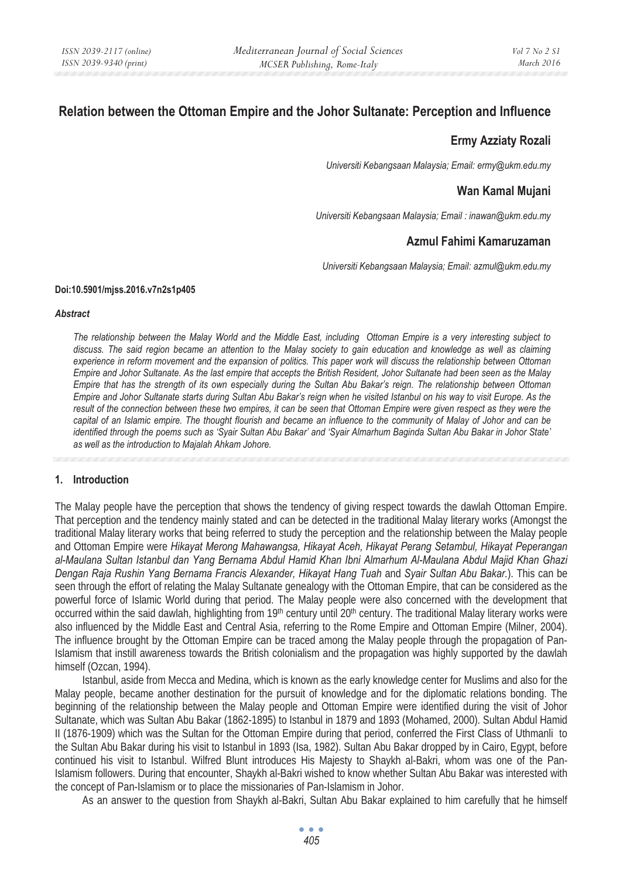# **Relation between the Ottoman Empire and the Johor Sultanate: Perception and Influence**

# **Ermy Azziaty Rozali**

*Universiti Kebangsaan Malaysia; Email: ermy@ukm.edu.my* 

# **Wan Kamal Mujani**

*Universiti Kebangsaan Malaysia; Email : inawan@ukm.edu.my* 

# **Azmul Fahimi Kamaruzaman**

*Universiti Kebangsaan Malaysia; Email: azmul@ukm.edu.my* 

### **Doi:10.5901/mjss.2016.v7n2s1p405**

#### *Abstract*

*The relationship between the Malay World and the Middle East, including Ottoman Empire is a very interesting subject to discuss. The said region became an attention to the Malay society to gain education and knowledge as well as claiming*  experience in reform movement and the expansion of politics. This paper work will discuss the relationship between Ottoman *Empire and Johor Sultanate. As the last empire that accepts the British Resident, Johor Sultanate had been seen as the Malay Empire that has the strength of its own especially during the Sultan Abu Bakar's reign. The relationship between Ottoman Empire and Johor Sultanate starts during Sultan Abu Bakar's reign when he visited Istanbul on his way to visit Europe. As the result of the connection between these two empires, it can be seen that Ottoman Empire were given respect as they were the capital of an Islamic empire. The thought flourish and became an influence to the community of Malay of Johor and can be identified through the poems such as 'Syair Sultan Abu Bakar' and 'Syair Almarhum Baginda Sultan Abu Bakar in Johor State' as well as the introduction to Majalah Ahkam Johore.* 

### **1. Introduction**

The Malay people have the perception that shows the tendency of giving respect towards the dawlah Ottoman Empire. That perception and the tendency mainly stated and can be detected in the traditional Malay literary works (Amongst the traditional Malay literary works that being referred to study the perception and the relationship between the Malay people and Ottoman Empire were *Hikayat Merong Mahawangsa, Hikayat Aceh, Hikayat Perang Setambul, Hikayat Peperangan al-Maulana Sultan Istanbul dan Yang Bernama Abdul Hamid Khan Ibni Almarhum Al-Maulana Abdul Majid Khan Ghazi Dengan Raja Rushin Yang Bernama Francis Alexander, Hikayat Hang Tuah* and *Syair Sultan Abu Bakar.*). This can be seen through the effort of relating the Malay Sultanate genealogy with the Ottoman Empire, that can be considered as the powerful force of Islamic World during that period. The Malay people were also concerned with the development that occurred within the said dawlah, highlighting from 19<sup>th</sup> century until 20<sup>th</sup> century. The traditional Malay literary works were also influenced by the Middle East and Central Asia, referring to the Rome Empire and Ottoman Empire (Milner, 2004). The influence brought by the Ottoman Empire can be traced among the Malay people through the propagation of Pan-Islamism that instill awareness towards the British colonialism and the propagation was highly supported by the dawlah himself (Ozcan, 1994).

Istanbul, aside from Mecca and Medina, which is known as the early knowledge center for Muslims and also for the Malay people, became another destination for the pursuit of knowledge and for the diplomatic relations bonding. The beginning of the relationship between the Malay people and Ottoman Empire were identified during the visit of Johor Sultanate, which was Sultan Abu Bakar (1862-1895) to Istanbul in 1879 and 1893 (Mohamed, 2000). Sultan Abdul Hamid II (1876-1909) which was the Sultan for the Ottoman Empire during that period, conferred the First Class of Uthmanli to the Sultan Abu Bakar during his visit to Istanbul in 1893 (Isa, 1982). Sultan Abu Bakar dropped by in Cairo, Egypt, before continued his visit to Istanbul. Wilfred Blunt introduces His Majesty to Shaykh al-Bakri, whom was one of the Pan-Islamism followers. During that encounter, Shaykh al-Bakri wished to know whether Sultan Abu Bakar was interested with the concept of Pan-Islamism or to place the missionaries of Pan-Islamism in Johor.

As an answer to the question from Shaykh al-Bakri, Sultan Abu Bakar explained to him carefully that he himself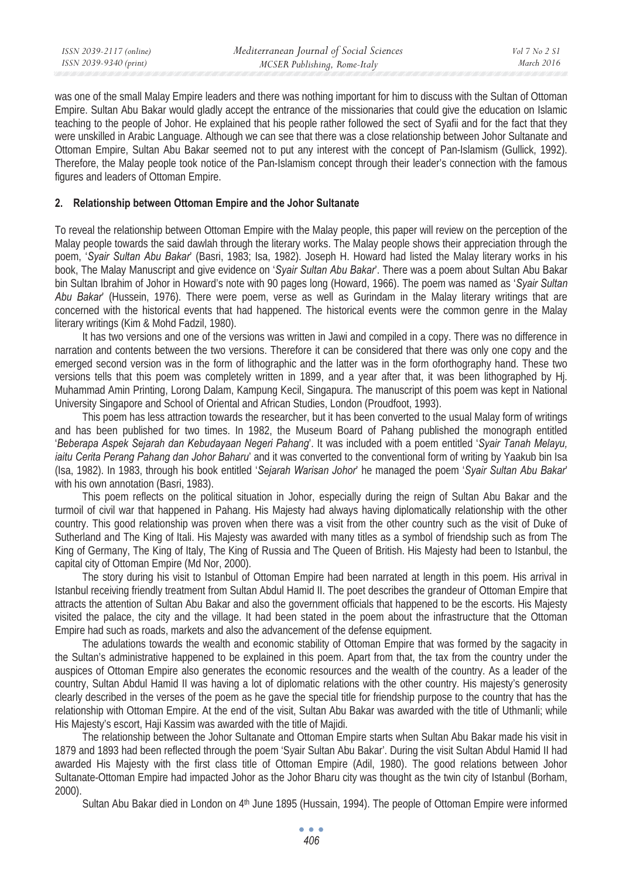was one of the small Malay Empire leaders and there was nothing important for him to discuss with the Sultan of Ottoman Empire. Sultan Abu Bakar would gladly accept the entrance of the missionaries that could give the education on Islamic teaching to the people of Johor. He explained that his people rather followed the sect of Syafii and for the fact that they were unskilled in Arabic Language. Although we can see that there was a close relationship between Johor Sultanate and Ottoman Empire, Sultan Abu Bakar seemed not to put any interest with the concept of Pan-Islamism (Gullick, 1992). Therefore, the Malay people took notice of the Pan-Islamism concept through their leader's connection with the famous figures and leaders of Ottoman Empire.

### **2. Relationship between Ottoman Empire and the Johor Sultanate**

To reveal the relationship between Ottoman Empire with the Malay people, this paper will review on the perception of the Malay people towards the said dawlah through the literary works. The Malay people shows their appreciation through the poem, '*Syair Sultan Abu Bakar*' (Basri, 1983; Isa, 1982). Joseph H. Howard had listed the Malay literary works in his book, The Malay Manuscript and give evidence on '*Syair Sultan Abu Bakar*'. There was a poem about Sultan Abu Bakar bin Sultan Ibrahim of Johor in Howard's note with 90 pages long (Howard, 1966). The poem was named as '*Syair Sultan Abu Bakar*' (Hussein, 1976). There were poem, verse as well as Gurindam in the Malay literary writings that are concerned with the historical events that had happened. The historical events were the common genre in the Malay literary writings (Kim & Mohd Fadzil, 1980).

It has two versions and one of the versions was written in Jawi and compiled in a copy. There was no difference in narration and contents between the two versions. Therefore it can be considered that there was only one copy and the emerged second version was in the form of lithographic and the latter was in the form oforthography hand. These two versions tells that this poem was completely written in 1899, and a year after that, it was been lithographed by Hj. Muhammad Amin Printing, Lorong Dalam, Kampung Kecil, Singapura. The manuscript of this poem was kept in National University Singapore and School of Oriental and African Studies, London (Proudfoot, 1993).

This poem has less attraction towards the researcher, but it has been converted to the usual Malay form of writings and has been published for two times. In 1982, the Museum Board of Pahang published the monograph entitled '*Beberapa Aspek Sejarah dan Kebudayaan Negeri Pahang*'. It was included with a poem entitled '*Syair Tanah Melayu, iaitu Cerita Perang Pahang dan Johor Baharu*' and it was converted to the conventional form of writing by Yaakub bin Isa (Isa, 1982). In 1983, through his book entitled '*Sejarah Warisan Johor*' he managed the poem '*Syair Sultan Abu Bakar*' with his own annotation (Basri, 1983).

This poem reflects on the political situation in Johor, especially during the reign of Sultan Abu Bakar and the turmoil of civil war that happened in Pahang. His Majesty had always having diplomatically relationship with the other country. This good relationship was proven when there was a visit from the other country such as the visit of Duke of Sutherland and The King of Itali. His Majesty was awarded with many titles as a symbol of friendship such as from The King of Germany, The King of Italy, The King of Russia and The Queen of British. His Majesty had been to Istanbul, the capital city of Ottoman Empire (Md Nor, 2000).

The story during his visit to Istanbul of Ottoman Empire had been narrated at length in this poem. His arrival in Istanbul receiving friendly treatment from Sultan Abdul Hamid II. The poet describes the grandeur of Ottoman Empire that attracts the attention of Sultan Abu Bakar and also the government officials that happened to be the escorts. His Majesty visited the palace, the city and the village. It had been stated in the poem about the infrastructure that the Ottoman Empire had such as roads, markets and also the advancement of the defense equipment.

The adulations towards the wealth and economic stability of Ottoman Empire that was formed by the sagacity in the Sultan's administrative happened to be explained in this poem. Apart from that, the tax from the country under the auspices of Ottoman Empire also generates the economic resources and the wealth of the country. As a leader of the country, Sultan Abdul Hamid II was having a lot of diplomatic relations with the other country. His majesty's generosity clearly described in the verses of the poem as he gave the special title for friendship purpose to the country that has the relationship with Ottoman Empire. At the end of the visit, Sultan Abu Bakar was awarded with the title of Uthmanli; while His Majesty's escort, Haji Kassim was awarded with the title of Majidi.

The relationship between the Johor Sultanate and Ottoman Empire starts when Sultan Abu Bakar made his visit in 1879 and 1893 had been reflected through the poem 'Syair Sultan Abu Bakar'. During the visit Sultan Abdul Hamid II had awarded His Majesty with the first class title of Ottoman Empire (Adil, 1980). The good relations between Johor Sultanate-Ottoman Empire had impacted Johor as the Johor Bharu city was thought as the twin city of Istanbul (Borham, 2000).

Sultan Abu Bakar died in London on 4<sup>th</sup> June 1895 (Hussain, 1994). The people of Ottoman Empire were informed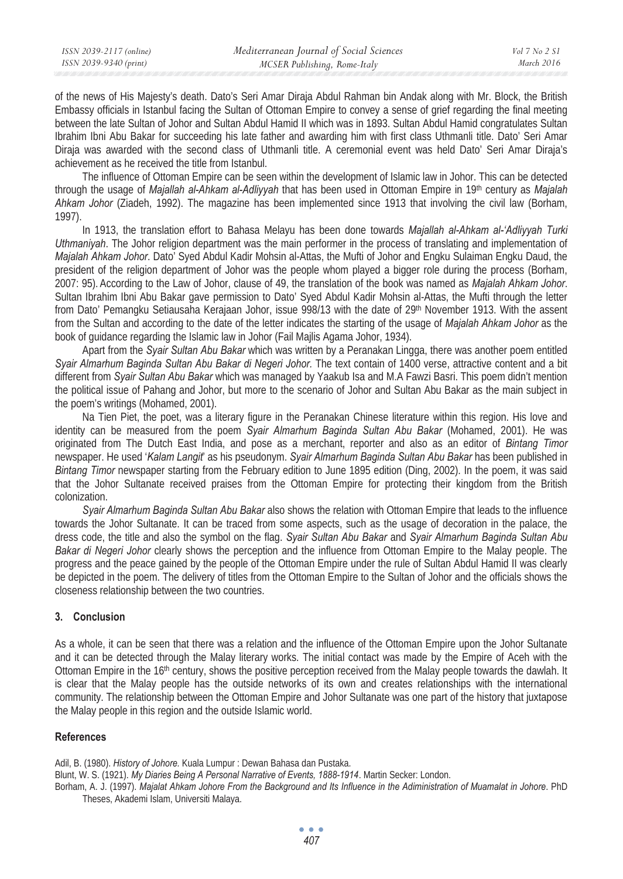of the news of His Majesty's death. Dato's Seri Amar Diraja Abdul Rahman bin Andak along with Mr. Block, the British Embassy officials in Istanbul facing the Sultan of Ottoman Empire to convey a sense of grief regarding the final meeting between the late Sultan of Johor and Sultan Abdul Hamid II which was in 1893. Sultan Abdul Hamid congratulates Sultan Ibrahim Ibni Abu Bakar for succeeding his late father and awarding him with first class Uthmanli title. Dato' Seri Amar Diraja was awarded with the second class of Uthmanli title. A ceremonial event was held Dato' Seri Amar Diraja's achievement as he received the title from Istanbul.

The influence of Ottoman Empire can be seen within the development of Islamic law in Johor. This can be detected through the usage of *Majallah al-Ahkam al-Adliyyah* that has been used in Ottoman Empire in 19th century as *Majalah Ahkam Johor* (Ziadeh, 1992). The magazine has been implemented since 1913 that involving the civil law (Borham, 1997).

In 1913, the translation effort to Bahasa Melayu has been done towards *Majallah al-Ahkam al-'Adliyyah Turki Uthmaniyah*. The Johor religion department was the main performer in the process of translating and implementation of *Majalah Ahkam Johor*. Dato' Syed Abdul Kadir Mohsin al-Attas, the Mufti of Johor and Engku Sulaiman Engku Daud, the president of the religion department of Johor was the people whom played a bigger role during the process (Borham, 2007: 95). According to the Law of Johor, clause of 49, the translation of the book was named as *Majalah Ahkam Johor*. Sultan Ibrahim Ibni Abu Bakar gave permission to Dato' Syed Abdul Kadir Mohsin al-Attas, the Mufti through the letter from Dato' Pemangku Setiausaha Kerajaan Johor, issue 998/13 with the date of 29th November 1913. With the assent from the Sultan and according to the date of the letter indicates the starting of the usage of *Majalah Ahkam Johor* as the book of guidance regarding the Islamic law in Johor (Fail Majlis Agama Johor, 1934).

Apart from the *Syair Sultan Abu Bakar* which was written by a Peranakan Lingga, there was another poem entitled *Syair Almarhum Baginda Sultan Abu Bakar di Negeri Johor.* The text contain of 1400 verse, attractive content and a bit different from *Syair Sultan Abu Bakar* which was managed by Yaakub Isa and M.A Fawzi Basri. This poem didn't mention the political issue of Pahang and Johor, but more to the scenario of Johor and Sultan Abu Bakar as the main subject in the poem's writings (Mohamed, 2001).

Na Tien Piet, the poet, was a literary figure in the Peranakan Chinese literature within this region. His love and identity can be measured from the poem *Syair Almarhum Baginda Sultan Abu Bakar* (Mohamed, 2001). He was originated from The Dutch East India, and pose as a merchant, reporter and also as an editor of *Bintang Timor* newspaper. He used '*Kalam Langit*' as his pseudonym. *Syair Almarhum Baginda Sultan Abu Bakar* has been published in *Bintang Timor* newspaper starting from the February edition to June 1895 edition (Ding, 2002). In the poem, it was said that the Johor Sultanate received praises from the Ottoman Empire for protecting their kingdom from the British colonization.

*Syair Almarhum Baginda Sultan Abu Bakar* also shows the relation with Ottoman Empire that leads to the influence towards the Johor Sultanate. It can be traced from some aspects, such as the usage of decoration in the palace, the dress code, the title and also the symbol on the flag. *Syair Sultan Abu Bakar* and *Syair Almarhum Baginda Sultan Abu Bakar di Negeri Johor* clearly shows the perception and the influence from Ottoman Empire to the Malay people. The progress and the peace gained by the people of the Ottoman Empire under the rule of Sultan Abdul Hamid II was clearly be depicted in the poem. The delivery of titles from the Ottoman Empire to the Sultan of Johor and the officials shows the closeness relationship between the two countries.

# **3. Conclusion**

As a whole, it can be seen that there was a relation and the influence of the Ottoman Empire upon the Johor Sultanate and it can be detected through the Malay literary works. The initial contact was made by the Empire of Aceh with the Ottoman Empire in the 16<sup>th</sup> century, shows the positive perception received from the Malay people towards the dawlah. It is clear that the Malay people has the outside networks of its own and creates relationships with the international community. The relationship between the Ottoman Empire and Johor Sultanate was one part of the history that juxtapose the Malay people in this region and the outside Islamic world.

### **References**

Adil, B. (1980). *History of Johore.* Kuala Lumpur : Dewan Bahasa dan Pustaka. Blunt, W. S. (1921). *My Diaries Being A Personal Narrative of Events, 1888-1914*. Martin Secker: London. Borham, A. J. (1997). *Majalat Ahkam Johore From the Background and Its Influence in the Adiministration of Muamalat in Johore*. PhD Theses, Akademi Islam, Universiti Malaya.